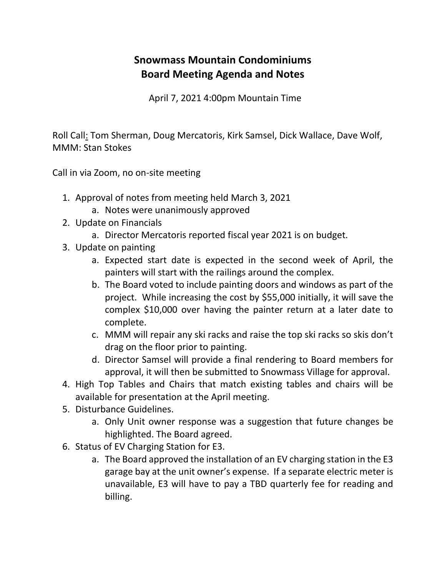## **Snowmass Mountain Condominiums Board Meeting Agenda and Notes**

April 7, 2021 4:00pm Mountain Time

Roll Call: Tom Sherman, Doug Mercatoris, Kirk Samsel, Dick Wallace, Dave Wolf, MMM: Stan Stokes

Call in via Zoom, no on-site meeting

- 1. Approval of notes from meeting held March 3, 2021
	- a. Notes were unanimously approved
- 2. Update on Financials
	- a. Director Mercatoris reported fiscal year 2021 is on budget.
- 3. Update on painting
	- a. Expected start date is expected in the second week of April, the painters will start with the railings around the complex.
	- b. The Board voted to include painting doors and windows as part of the project. While increasing the cost by \$55,000 initially, it will save the complex \$10,000 over having the painter return at a later date to complete.
	- c. MMM will repair any ski racks and raise the top ski racks so skis don't drag on the floor prior to painting.
	- d. Director Samsel will provide a final rendering to Board members for approval, it will then be submitted to Snowmass Village for approval.
- 4. High Top Tables and Chairs that match existing tables and chairs will be available for presentation at the April meeting.
- 5. Disturbance Guidelines.
	- a. Only Unit owner response was a suggestion that future changes be highlighted. The Board agreed.
- 6. Status of EV Charging Station for E3.
	- a. The Board approved the installation of an EV charging station in the E3 garage bay at the unit owner's expense. If a separate electric meter is unavailable, E3 will have to pay a TBD quarterly fee for reading and billing.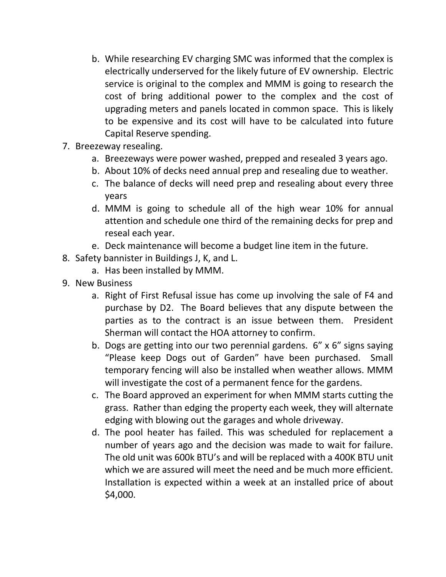- b. While researching EV charging SMC was informed that the complex is electrically underserved for the likely future of EV ownership. Electric service is original to the complex and MMM is going to research the cost of bring additional power to the complex and the cost of upgrading meters and panels located in common space. This is likely to be expensive and its cost will have to be calculated into future Capital Reserve spending.
- 7. Breezeway resealing.
	- a. Breezeways were power washed, prepped and resealed 3 years ago.
	- b. About 10% of decks need annual prep and resealing due to weather.
	- c. The balance of decks will need prep and resealing about every three years
	- d. MMM is going to schedule all of the high wear 10% for annual attention and schedule one third of the remaining decks for prep and reseal each year.
	- e. Deck maintenance will become a budget line item in the future.
- 8. Safety bannister in Buildings J, K, and L.
	- a. Has been installed by MMM.
- 9. New Business
	- a. Right of First Refusal issue has come up involving the sale of F4 and purchase by D2. The Board believes that any dispute between the parties as to the contract is an issue between them. President Sherman will contact the HOA attorney to confirm.
	- b. Dogs are getting into our two perennial gardens. 6" x 6" signs saying "Please keep Dogs out of Garden" have been purchased. Small temporary fencing will also be installed when weather allows. MMM will investigate the cost of a permanent fence for the gardens.
	- c. The Board approved an experiment for when MMM starts cutting the grass. Rather than edging the property each week, they will alternate edging with blowing out the garages and whole driveway.
	- d. The pool heater has failed. This was scheduled for replacement a number of years ago and the decision was made to wait for failure. The old unit was 600k BTU's and will be replaced with a 400K BTU unit which we are assured will meet the need and be much more efficient. Installation is expected within a week at an installed price of about \$4,000.